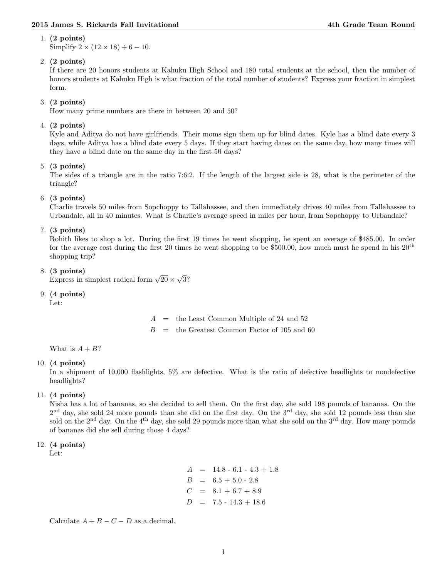#### 1. (2 points)

Simplify  $2 \times (12 \times 18) \div 6 - 10$ .

### 2. (2 points)

If there are 20 honors students at Kahuku High School and 180 total students at the school, then the number of honors students at Kahuku High is what fraction of the total number of students? Express your fraction in simplest form.

# 3. (2 points)

How many prime numbers are there in between 20 and 50?

# 4. (2 points)

Kyle and Aditya do not have girlfriends. Their moms sign them up for blind dates. Kyle has a blind date every 3 days, while Aditya has a blind date every 5 days. If they start having dates on the same day, how many times will they have a blind date on the same day in the first 50 days?

### 5. (3 points)

The sides of a triangle are in the ratio 7:6:2. If the length of the largest side is 28, what is the perimeter of the triangle?

### 6. (3 points)

Charlie travels 50 miles from Sopchoppy to Tallahassee, and then immediately drives 40 miles from Tallahassee to Urbandale, all in 40 minutes. What is Charlie's average speed in miles per hour, from Sopchoppy to Urbandale?

# 7. (3 points)

Rohith likes to shop a lot. During the first 19 times he went shopping, he spent an average of \$485.00. In order for the average cost during the first 20 times he went shopping to be \$500.00, how much must he spend in his  $20<sup>th</sup>$ shopping trip?

# 8. (3 points)

(3 points)<br>Express in simplest radical form  $\sqrt{20} \times$ √ 3?

### 9. (4 points)

Let:

 $A =$  the Least Common Multiple of 24 and 52  $B =$  the Greatest Common Factor of 105 and 60

What is  $A + B?$ 

### 10. (4 points)

In a shipment of 10,000 flashlights, 5% are defective. What is the ratio of defective headlights to nondefective headlights?

### 11. (4 points)

Nisha has a lot of bananas, so she decided to sell them. On the first day, she sold 198 pounds of bananas. On the  $2<sup>nd</sup>$  day, she sold 24 more pounds than she did on the first day. On the  $3<sup>rd</sup>$  day, she sold 12 pounds less than she sold on the 2<sup>nd</sup> day. On the 4<sup>th</sup> day, she sold 29 pounds more than what she sold on the 3<sup>rd</sup> day. How many pounds of bananas did she sell during those 4 days?

### 12. (4 points)

Let:

 $A = 14.8 - 6.1 - 4.3 + 1.8$  $B = 6.5 + 5.0 - 2.8$  $C = 8.1 + 6.7 + 8.9$  $D = 7.5 - 14.3 + 18.6$ 

Calculate  $A + B - C - D$  as a decimal.